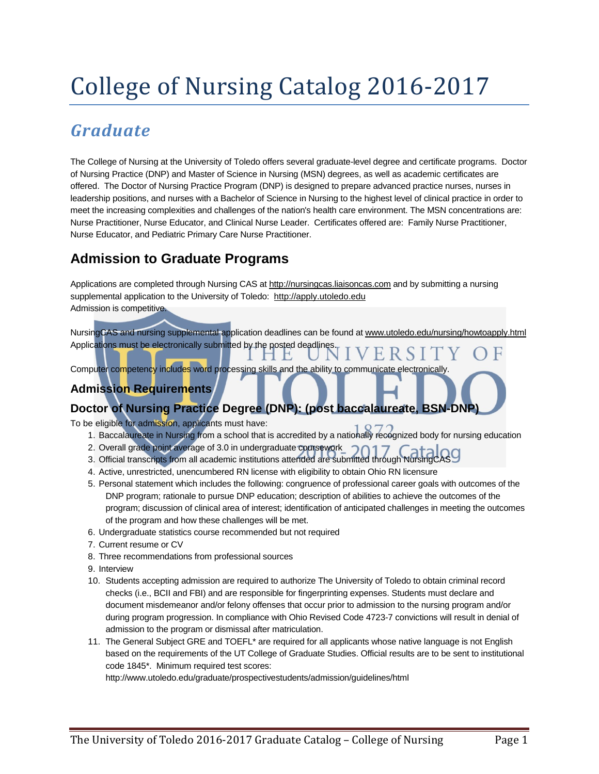# College of Nursing Catalog 2016-2017

# *Graduate*

The College of Nursing at the University of Toledo offers several graduate-level degree and certificate programs. Doctor of Nursing Practice (DNP) and Master of Science in Nursing (MSN) degrees, as well as academic certificates are offered. The Doctor of Nursing Practice Program (DNP) is designed to prepare advanced practice nurses, nurses in leadership positions, and nurses with a Bachelor of Science in Nursing to the highest level of clinical practice in order to meet the increasing complexities and challenges of the nation's health care environment. The MSN concentrations are: Nurse Practitioner, Nurse Educator, and Clinical Nurse Leader. Certificates offered are: Family Nurse Practitioner, Nurse Educator, and Pediatric Primary Care Nurse Practitioner.

# **Admission to Graduate Programs**

Applications are completed through Nursing CAS at [http://nursingcas.liaisoncas.com](http://nursingcas.liaisoncas.com/) and by submitting a nursing supplemental application to the University of Toledo: http://apply.utoledo.edu Admission is competitive.

E

NursingCAS and nursing supplemental application deadlines can be found at www.utoledo.edu/nursing/howtoapply.html Applications must be electronically submitted by the posted deadlines.

Computer competency includes word processing skills and the ability to communicate electronically.

## **Admission Requirements**

### **Doctor of Nursing Practice Degree (DNP): (post baccalaureate, BSN-DNP)**

To be eligible for admission, applicants must have:

- 1. Baccalaureate in Nursing from a school that is accredited by a nationally recognized body for nursing education
- 2. Overall grade point average of 3.0 in undergraduate coursework
- 3. Official transcripts from all academic institutions attended are submitted through NursingCAS
- 4. Active, unrestricted, unencumbered RN license with eligibility to obtain Ohio RN licensure
- 5. Personal statement which includes the following: congruence of professional career goals with outcomes of the DNP program; rationale to pursue DNP education; description of abilities to achieve the outcomes of the program; discussion of clinical area of interest; identification of anticipated challenges in meeting the outcomes of the program and how these challenges will be met.
- 6. Undergraduate statistics course recommended but not required
- 7. Current resume or CV
- 8. Three recommendations from professional sources

9. Interview

- 10. Students accepting admission are required to authorize The University of Toledo to obtain criminal record checks (i.e., BCII and FBI) and are responsible for fingerprinting expenses. Students must declare and document misdemeanor and/or felony offenses that occur prior to admission to the nursing program and/or during program progression. In compliance with Ohio Revised Code 4723-7 convictions will result in denial of admission to the program or dismissal after matriculation.
- 11. The General Subject GRE and TOEFL\* are required for all applicants whose native language is not English based on the requirements of the UT College of Graduate Studies. Official results are to be sent to institutional code 1845\*. Minimum required test scores:

http://www.utoledo.edu/graduate/prospectivestudents/admission/guidelines/html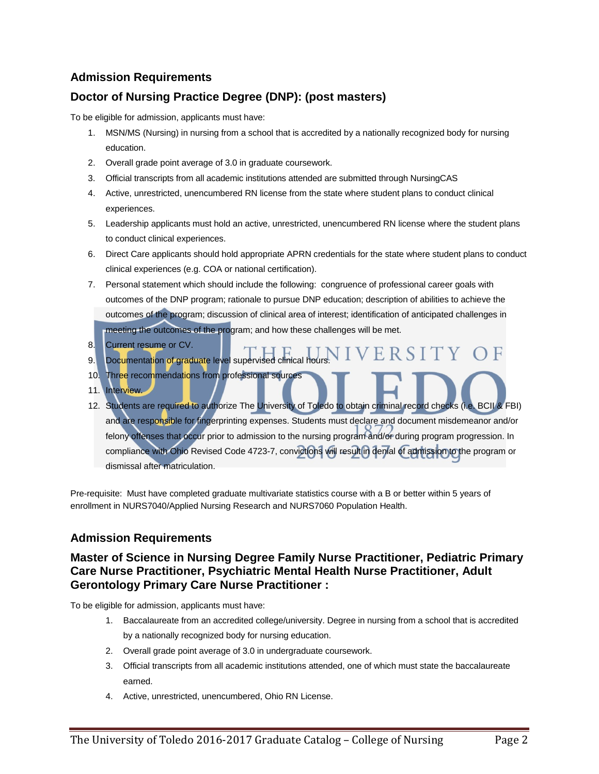## **Doctor of Nursing Practice Degree (DNP): (post masters)**

To be eligible for admission, applicants must have:

- 1. MSN/MS (Nursing) in nursing from a school that is accredited by a nationally recognized body for nursing education.
- 2. Overall grade point average of 3.0 in graduate coursework.
- 3. Official transcripts from all academic institutions attended are submitted through NursingCAS
- 4. Active, unrestricted, unencumbered RN license from the state where student plans to conduct clinical experiences.
- 5. Leadership applicants must hold an active, unrestricted, unencumbered RN license where the student plans to conduct clinical experiences.
- 6. Direct Care applicants should hold appropriate APRN credentials for the state where student plans to conduct clinical experiences (e.g. COA or national certification).
- 7. Personal statement which should include the following: congruence of professional career goals with outcomes of the DNP program; rationale to pursue DNP education; description of abilities to achieve the outcomes of the program; discussion of clinical area of interest; identification of anticipated challenges in meeting the outcomes of the program; and how these challenges will be met.
- 8. Current resume or CV.
- **VIVERSIT** 9. Documentation of graduate level supervised clinical hours
- 10. Three recommendations from professional sources
- 11. Interview.
- 12. Students are required to authorize The University of Toledo to obtain criminal record checks (i.e. BCII & FBI) and are responsible for fingerprinting expenses. Students must declare and document misdemeanor and/or felony offenses that occur prior to admission to the nursing program and/or during program progression. In compliance with Ohio Revised Code 4723-7, convictions will result in denial of admission to the program or dismissal after matriculation.

Pre-requisite: Must have completed graduate multivariate statistics course with a B or better within 5 years of enrollment in NURS7040/Applied Nursing Research and NURS7060 Population Health.

### **Admission Requirements**

#### **Master of Science in Nursing Degree Family Nurse Practitioner, Pediatric Primary Care Nurse Practitioner, Psychiatric Mental Health Nurse Practitioner, Adult Gerontology Primary Care Nurse Practitioner :**

To be eligible for admission, applicants must have:

- 1. Baccalaureate from an accredited college/university. Degree in nursing from a school that is accredited by a nationally recognized body for nursing education.
- 2. Overall grade point average of 3.0 in undergraduate coursework.
- 3. Official transcripts from all academic institutions attended, one of which must state the baccalaureate earned.
- 4. Active, unrestricted, unencumbered, Ohio RN License.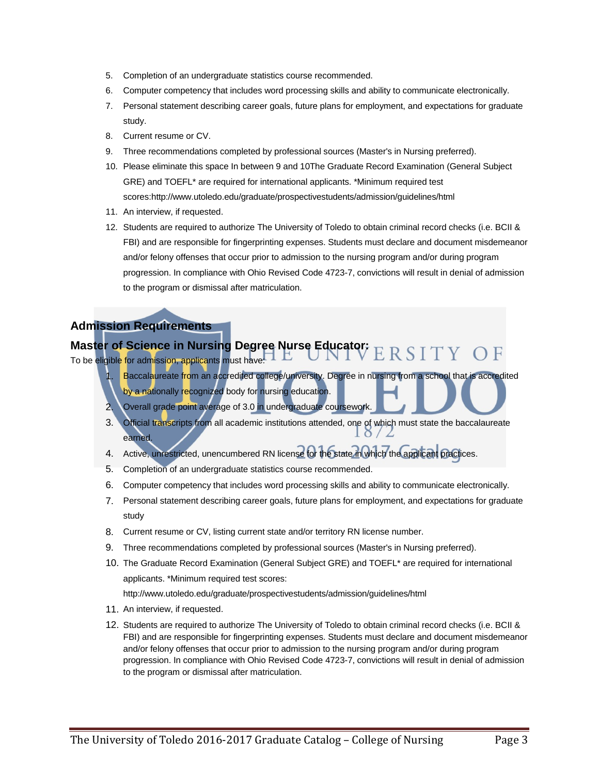- 5. Completion of an undergraduate statistics course recommended.
- 6. Computer competency that includes word processing skills and ability to communicate electronically.
- 7. Personal statement describing career goals, future plans for employment, and expectations for graduate study.
- 8. Current resume or CV.
- 9. Three recommendations completed by professional sources (Master's in Nursing preferred).
- 10. Please eliminate this space In between 9 and 10The Graduate Record Examination (General Subject GRE) and TOEFL\* are required for international applicants. \*Minimum required test scores:http://www.utoledo.edu/graduate/prospectivestudents/admission/guidelines/html
- 11. An interview, if requested.
- 12. Students are required to authorize The University of Toledo to obtain criminal record checks (i.e. BCII & FBI) and are responsible for fingerprinting expenses. Students must declare and document misdemeanor and/or felony offenses that occur prior to admission to the nursing program and/or during program progression. In compliance with Ohio Revised Code 4723-7, convictions will result in denial of admission to the program or dismissal after matriculation.

## **Master of Science in Nursing Degree Nurse Educator:** To be eligible for admission, applicants must have:  $\Box$   $\Box$

- Baccalaureate from an accredited college/university. Degree in nursing from a school that is accredited by a nationally recognized body for nursing education.
- 2. Overall grade point average of 3.0 in undergraduate coursework.
- 3. Official transcripts from all academic institutions attended, one of which must state the baccalaureate earned.
- 4. Active, unrestricted, unencumbered RN license for the state in which the applicant practices.
- 5. Completion of an undergraduate statistics course recommended.
- 6. Computer competency that includes word processing skills and ability to communicate electronically.
- 7. Personal statement describing career goals, future plans for employment, and expectations for graduate study
- 8. Current resume or CV, listing current state and/or territory RN license number.
- 9. Three recommendations completed by professional sources (Master's in Nursing preferred).
- 10. The Graduate Record Examination (General Subject GRE) and TOEFL\* are required for international applicants. \*Minimum required test scores:

http://www.utoledo.edu/graduate/prospectivestudents/admission/guidelines/html

- 11. An interview, if requested.
- 12. Students are required to authorize The University of Toledo to obtain criminal record checks (i.e. BCII & FBI) and are responsible for fingerprinting expenses. Students must declare and document misdemeanor and/or felony offenses that occur prior to admission to the nursing program and/or during program progression. In compliance with Ohio Revised Code 4723-7, convictions will result in denial of admission to the program or dismissal after matriculation.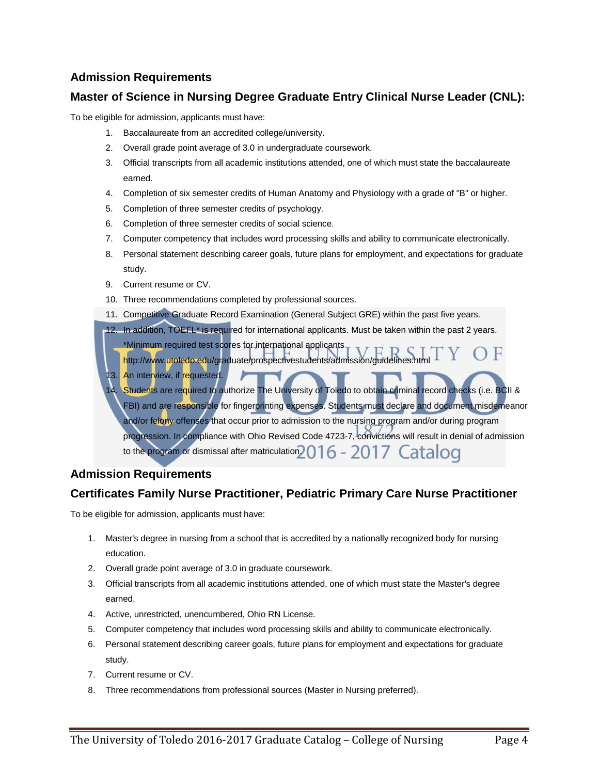#### **Master of Science in Nursing Degree Graduate Entry Clinical Nurse Leader (CNL):**

To be eligible for admission, applicants must have:

- 1. Baccalaureate from an accredited college/university.
- 2. Overall grade point average of 3.0 in undergraduate coursework.
- 3. Official transcripts from all academic institutions attended, one of which must state the baccalaureate earned.
- 4. Completion of six semester credits of Human Anatomy and Physiology with a grade of "B" or higher.
- 5. Completion of three semester credits of psychology.
- 6. Completion of three semester credits of social science.
- 7. Computer competency that includes word processing skills and ability to communicate electronically.
- 8. Personal statement describing career goals, future plans for employment, and expectations for graduate study.
- 9. Current resume or CV.
- 10. Three recommendations completed by professional sources.
- 11. Competitive Graduate Record Examination (General Subject GRE) within the past five years.

12. In addition, TOEFL<sup>\*</sup> is required for international applicants. Must be taken within the past 2 years.

- \*Minimum required test scores for international applicants
- http://www.utoledo.edu/graduate/prospectivestudents/admission/guidelines.htm 13. An interview, if requested.
- 14. Students are required to authorize The University of Toledo to obtain criminal record checks (i.e. BCII & FBI) and are responsible for fingerprinting expenses. Students must declare and document misdemeanor and/or felony offenses that occur prior to admission to the nursing program and/or during program progression. In compliance with Ohio Revised Code 4723-7, convictions will result in denial of admission to the program or dismissal after matriculation  $2016 - 2017$  Catalog

### **Admission Requirements**

### **Certificates Family Nurse Practitioner, Pediatric Primary Care Nurse Practitioner**

To be eligible for admission, applicants must have:

- 1. Master's degree in nursing from a school that is accredited by a nationally recognized body for nursing education.
- 2. Overall grade point average of 3.0 in graduate coursework.
- 3. Official transcripts from all academic institutions attended, one of which must state the Master's degree earned.
- 4. Active, unrestricted, unencumbered, Ohio RN License.
- 5. Computer competency that includes word processing skills and ability to communicate electronically.
- 6. Personal statement describing career goals, future plans for employment and expectations for graduate study.
- 7. Current resume or CV.
- 8. Three recommendations from professional sources (Master in Nursing preferred).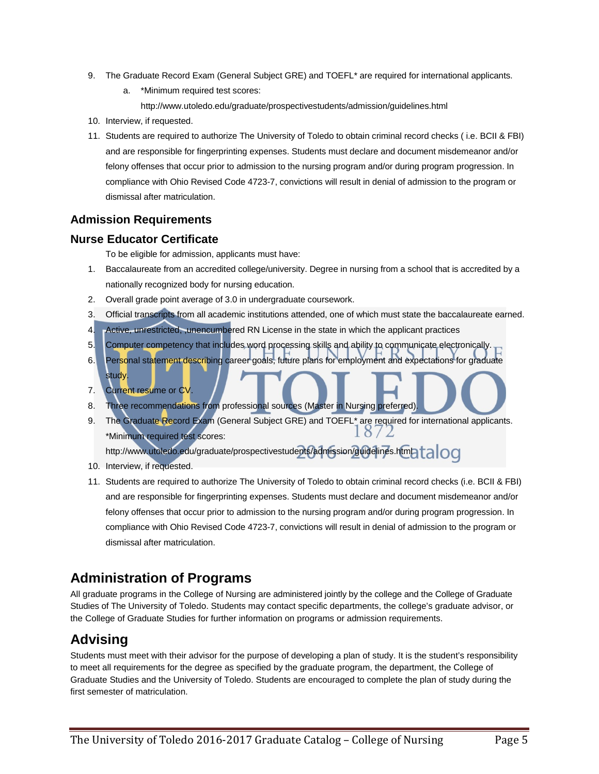- 9. The Graduate Record Exam (General Subject GRE) and TOEFL<sup>\*</sup> are required for international applicants.
	- a. \*Minimum required test scores: <http://www.utoledo.edu/graduate/prospectivestudents/admission/guidelines.html>
- 10. Interview, if requested.
- 11. Students are required to authorize The University of Toledo to obtain criminal record checks ( i.e. BCII & FBI) and are responsible for fingerprinting expenses. Students must declare and document misdemeanor and/or felony offenses that occur prior to admission to the nursing program and/or during program progression. In compliance with Ohio Revised Code 4723-7, convictions will result in denial of admission to the program or dismissal after matriculation.

#### **Nurse Educator Certificate**

To be eligible for admission, applicants must have:

- 1. Baccalaureate from an accredited college/university. Degree in nursing from a school that is accredited by a nationally recognized body for nursing education.
- 2. Overall grade point average of 3.0 in undergraduate coursework.
- 3. Official transcripts from all academic institutions attended, one of which must state the baccalaureate earned.
- 4. Active, unrestricted, ,unencumbered RN License in the state in which the applicant practices
- 5. Computer competency that includes word processing skills and ability to communicate electronically.
- 6. Personal statement describing career goals, future plans for employment and expectations for graduate study.
- 7. Current resume or CV.
- 8. Three recommendations from professional sources (Master in Nursing preferred).
- 9. The Graduate Record Exam (General Subject GRE) and TOEFL<sup>\*</sup> are required for international applicants.  $\delta$  / \*Minimum required test scores:

<http://www.utoledo.edu/graduate/prospectivestudents/admission/guidelines.html>talog

- 10. Interview, if requested.
- 11. Students are required to authorize The University of Toledo to obtain criminal record checks (i.e. BCII & FBI) and are responsible for fingerprinting expenses. Students must declare and document misdemeanor and/or felony offenses that occur prior to admission to the nursing program and/or during program progression. In compliance with Ohio Revised Code 4723-7, convictions will result in denial of admission to the program or dismissal after matriculation.

## **Administration of Programs**

All graduate programs in the College of Nursing are administered jointly by the college and the College of Graduate Studies of The University of Toledo. Students may contact specific departments, the college's graduate advisor, or the College of Graduate Studies for further information on programs or admission requirements.

# **Advising**

Students must meet with their advisor for the purpose of developing a plan of study. It is the student's responsibility to meet all requirements for the degree as specified by the graduate program, the department, the College of Graduate Studies and the University of Toledo. Students are encouraged to complete the plan of study during the first semester of matriculation.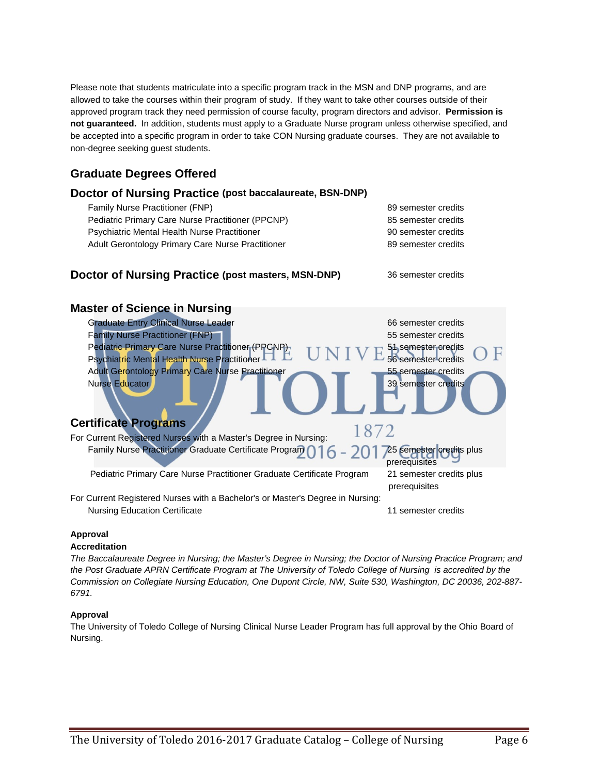Please note that students matriculate into a specific program track in the MSN and DNP programs, and are allowed to take the courses within their program of study. If they want to take other courses outside of their approved program track they need permission of course faculty, program directors and advisor. **Permission is not guaranteed.** In addition, students must apply to a Graduate Nurse program unless otherwise specified, and be accepted into a specific program in order to take CON Nursing graduate courses. They are not available to non-degree seeking guest students.

### **Graduate Degrees Offered**

#### **Doctor of Nursing Practice (post baccalaureate, BSN-DNP)**

| Family Nurse Practitioner (FNP)                   | 89 semester credits |
|---------------------------------------------------|---------------------|
| Pediatric Primary Care Nurse Practitioner (PPCNP) | 85 semester credits |
| Psychiatric Mental Health Nurse Practitioner      | 90 semester credits |
| Adult Gerontology Primary Care Nurse Practitioner | 89 semester credits |
|                                                   |                     |
|                                                   |                     |

#### **Doctor of Nursing Practice (post masters, MSN-DNP)** 36 semester credits



#### **Approval**

#### **Accreditation**

*The Baccalaureate Degree in Nursing; the Master's Degree in Nursing; the Doctor of Nursing Practice Program; and the Post Graduate APRN Certificate Program at The University of Toledo College of Nursing is accredited by the Commission on Collegiate Nursing Education, One Dupont Circle, NW, Suite 530, Washington, DC 20036, 202-887- 6791.*

#### **Approval**

The University of Toledo College of Nursing Clinical Nurse Leader Program has full approval by the Ohio Board of Nursing.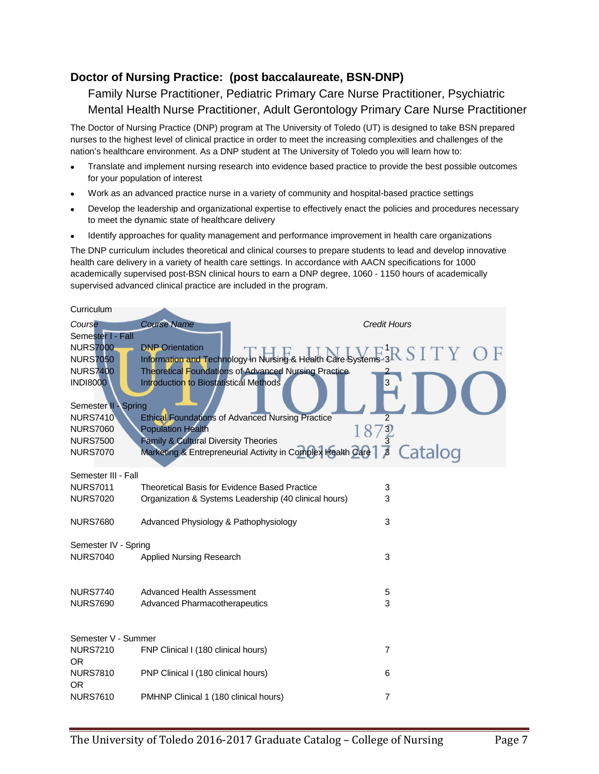#### **Doctor of Nursing Practice: (post baccalaureate, BSN-DNP)**

Family Nurse Practitioner, Pediatric Primary Care Nurse Practitioner, Psychiatric Mental Health Nurse Practitioner, Adult Gerontology Primary Care Nurse Practitioner

The Doctor of Nursing Practice (DNP) program at The University of Toledo (UT) is designed to take BSN prepared nurses to the highest level of clinical practice in order to meet the increasing complexities and challenges of the nation's healthcare environment. As a DNP student at The University of Toledo you will learn how to:

- Translate and implement nursing research into evidence based practice to provide the best possible outcomes for your population of interest
- Work as an advanced practice nurse in a variety of community and hospital-based practice settings
- Develop the leadership and organizational expertise to effectively enact the policies and procedures necessary to meet the dynamic state of healthcare delivery
- Identify approaches for quality management and performance improvement in health care organizations

The DNP curriculum includes theoretical and clinical courses to prepare students to lead and develop innovative health care delivery in a variety of health care settings. In accordance with AACN specifications for 1000 academically supervised post-BSN clinical hours to earn a DNP degree, 1060 - 1150 hours of academically supervised advanced clinical practice are included in the program.

| Curriculum                         |                                                                                                              |                     |
|------------------------------------|--------------------------------------------------------------------------------------------------------------|---------------------|
| Course<br>Semester I - Fall        | <b>Course Name</b>                                                                                           | <b>Credit Hours</b> |
| <b>NURS7000</b>                    | Information and Technology in Nursing & Health Care Systems 3R SITY OF                                       |                     |
| <b>NURS7050</b>                    |                                                                                                              |                     |
| <b>NURS7400</b><br><b>INDI8000</b> | <b>Theoretical Foundations of Advanced Nursing Practice</b><br><b>Introduction to Biostatistical Methods</b> | 3                   |
| Semester II - Spring               |                                                                                                              |                     |
| <b>NURS7410</b>                    | <b>Ethical Foundations of Advanced Nursing Practice</b>                                                      |                     |
| <b>NURS7060</b>                    | <b>Population Health</b>                                                                                     | $\frac{3}{3}$<br>18 |
| <b>NURS7500</b><br><b>NURS7070</b> | Family & Cultural Diversity Theories<br>Marketing & Entrepreneurial Activity in Complex Health Care          | Catalog<br>$\beta$  |
|                                    |                                                                                                              |                     |
| Semester III - Fall                |                                                                                                              |                     |
| <b>NURS7011</b>                    | Theoretical Basis for Evidence Based Practice                                                                | 3                   |
| <b>NURS7020</b>                    | Organization & Systems Leadership (40 clinical hours)                                                        | 3                   |
| <b>NURS7680</b>                    | Advanced Physiology & Pathophysiology                                                                        | 3                   |
| Semester IV - Spring               |                                                                                                              |                     |
| <b>NURS7040</b>                    | <b>Applied Nursing Research</b>                                                                              | 3                   |
|                                    |                                                                                                              |                     |
| <b>NURS7740</b>                    | Advanced Health Assessment                                                                                   | 5                   |
| <b>NURS7690</b>                    | Advanced Pharmacotherapeutics                                                                                | 3                   |
|                                    |                                                                                                              |                     |
| Semester V - Summer                |                                                                                                              |                     |
| <b>NURS7210</b>                    | FNP Clinical I (180 clinical hours)                                                                          | $\overline{7}$      |
| <b>OR</b>                          |                                                                                                              |                     |
| <b>NURS7810</b>                    | PNP Clinical I (180 clinical hours)                                                                          | 6                   |
| <b>OR</b><br><b>NURS7610</b>       |                                                                                                              | 7                   |
|                                    | PMHNP Clinical 1 (180 clinical hours)                                                                        |                     |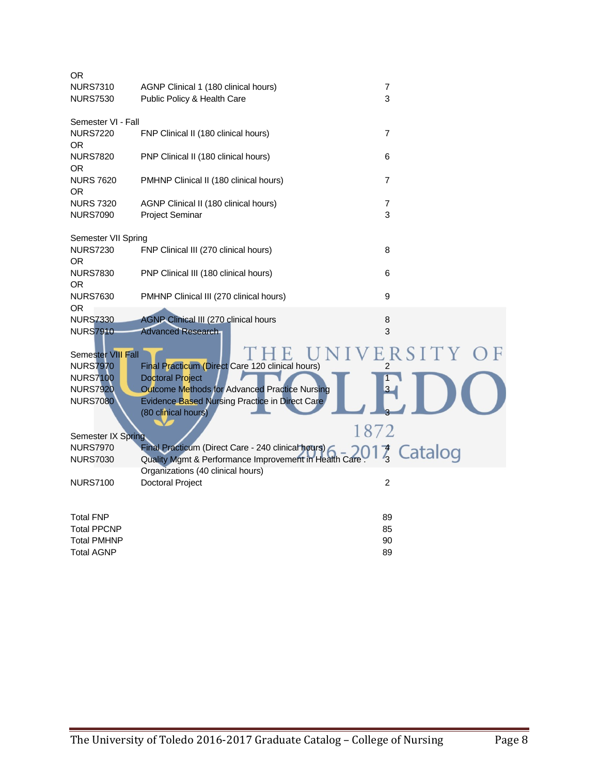| <b>OR</b>                     |                                                                       |                |
|-------------------------------|-----------------------------------------------------------------------|----------------|
| <b>NURS7310</b>               | AGNP Clinical 1 (180 clinical hours)                                  | 7              |
| <b>NURS7530</b>               | Public Policy & Health Care                                           | 3              |
| Semester VI - Fall            |                                                                       |                |
| <b>NURS7220</b><br>0R         | FNP Clinical II (180 clinical hours)                                  | $\overline{7}$ |
| <b>NURS7820</b><br><b>OR</b>  | PNP Clinical II (180 clinical hours)                                  | 6              |
| <b>NURS 7620</b><br><b>OR</b> | PMHNP Clinical II (180 clinical hours)                                | $\overline{7}$ |
| <b>NURS 7320</b>              | AGNP Clinical II (180 clinical hours)                                 | $\overline{7}$ |
| <b>NURS7090</b>               | <b>Project Seminar</b>                                                | 3              |
|                               |                                                                       |                |
| Semester VII Spring           |                                                                       |                |
| <b>NURS7230</b>               | FNP Clinical III (270 clinical hours)                                 | 8              |
| 0R                            |                                                                       |                |
| <b>NURS7830</b>               | PNP Clinical III (180 clinical hours)                                 | 6              |
| <b>OR</b>                     |                                                                       |                |
| <b>NURS7630</b>               | PMHNP Clinical III (270 clinical hours)                               | 9              |
| <b>OR</b>                     |                                                                       |                |
| <b>NURS7330</b>               | <b>AGNP Clinical III (270 clinical hours</b>                          | 8              |
| <b>NURS7910</b>               | <b>Advanced Research</b>                                              | 3              |
| <b>Semester VIII Fall</b>     |                                                                       |                |
| <b>NURS7970</b>               | Final Practicum (Direct Care 120 clinical hours)                      | 2              |
| <b>NURS7100</b>               | Doctoral Project                                                      |                |
| <b>NURS7920</b>               | Outcome Methods for Advanced Practice Nursing                         |                |
| <b>NURS7080</b>               | Evidence Based Nursing Practice in Direct Care<br>(80 clinical hours) |                |
|                               | 1872                                                                  |                |
| Semester IX Spring            |                                                                       |                |
| <b>NURS7970</b>               | Final Practicum (Direct Care - 240 clinical hours)                    | 7 Catalog      |
| <b>NURS7030</b>               | Quality Mgmt & Performance Improvement in Health Care                 |                |
|                               | Organizations (40 clinical hours)                                     |                |
| <b>NURS7100</b>               | <b>Doctoral Project</b>                                               | $\overline{2}$ |
|                               |                                                                       |                |
|                               |                                                                       |                |
| <b>Total FNP</b>              |                                                                       | 89             |
| <b>Total PPCNP</b>            |                                                                       | 85             |
| <b>Total PMHNP</b>            |                                                                       | 90             |
| <b>Total AGNP</b>             |                                                                       | 89             |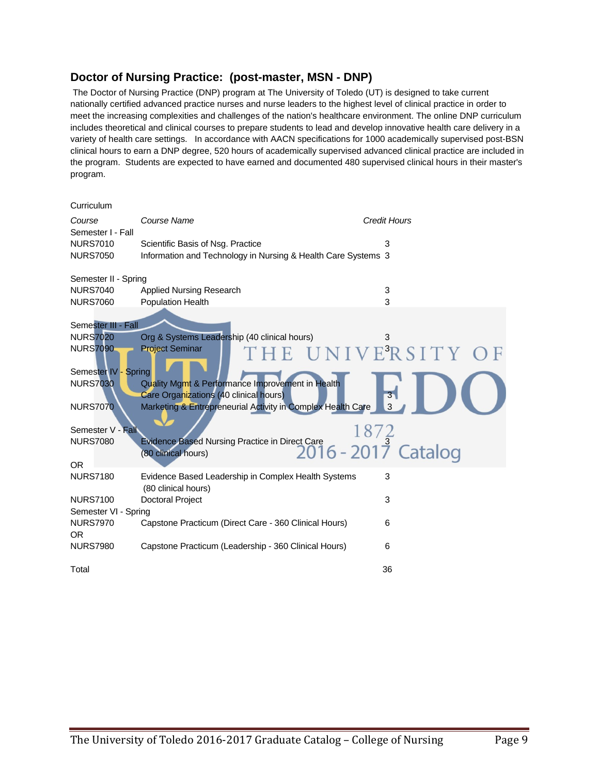#### **Doctor of Nursing Practice: (post-master, MSN - DNP)**

The Doctor of Nursing Practice (DNP) program at The University of Toledo (UT) is designed to take current nationally certified advanced practice nurses and nurse leaders to the highest level of clinical practice in order to meet the increasing complexities and challenges of the nation's healthcare environment. The online DNP curriculum includes theoretical and clinical courses to prepare students to lead and develop innovative health care delivery in a variety of health care settings. In accordance with AACN specifications for 1000 academically supervised post-BSN clinical hours to earn a DNP degree, 520 hours of academically supervised advanced clinical practice are included in the program. Students are expected to have earned and documented 480 supervised clinical hours in their master's program.

| Curriculum                   |                                                                                            |                                  |
|------------------------------|--------------------------------------------------------------------------------------------|----------------------------------|
| Course<br>Semester I - Fall  | Course Name                                                                                | <b>Credit Hours</b>              |
| <b>NURS7010</b>              | Scientific Basis of Nsg. Practice                                                          | 3                                |
| <b>NURS7050</b>              | Information and Technology in Nursing & Health Care Systems 3                              |                                  |
| Semester II - Spring         |                                                                                            |                                  |
| <b>NURS7040</b>              | <b>Applied Nursing Research</b>                                                            | 3                                |
| <b>NURS7060</b>              | Population Health                                                                          | 3                                |
| Semester III - Fall          |                                                                                            |                                  |
| <b>NURS7020</b>              | Org & Systems Leadership (40 clinical hours)                                               | 3                                |
| <b>NURS7090</b>              | <b>Project Seminar</b><br>THE UNIVERSITY                                                   |                                  |
| Semester IV - Spring         |                                                                                            |                                  |
| <b>NURS7030</b>              | Quality Mgmt & Performance Improvement in Health<br>Care Organizations (40 clinical hours) | $\overline{\mathbf{3}}$          |
| <b>NURS7070</b>              | Marketing & Entrepreneurial Activity in Complex Health Care                                | 3                                |
| Semester V - Fall            |                                                                                            | 18/                              |
| <b>NURS7080</b>              | Evidence Based Nursing Practice in Direct Care<br>(80 clinical hours)                      | $2016 - 201\overline{7}$ Catalog |
| <b>OR</b>                    |                                                                                            |                                  |
| <b>NURS7180</b>              | Evidence Based Leadership in Complex Health Systems<br>(80 clinical hours)                 | 3                                |
| <b>NURS7100</b>              | <b>Doctoral Project</b>                                                                    | 3                                |
| Semester VI - Spring         |                                                                                            |                                  |
| <b>NURS7970</b><br><b>OR</b> | Capstone Practicum (Direct Care - 360 Clinical Hours)                                      | 6                                |
| <b>NURS7980</b>              | Capstone Practicum (Leadership - 360 Clinical Hours)                                       | 6                                |
| Total                        |                                                                                            | 36                               |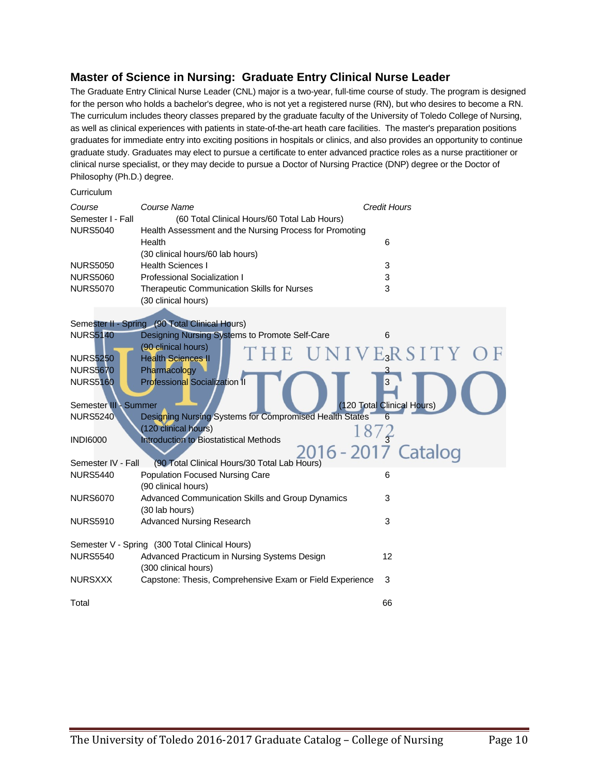#### **Master of Science in Nursing: Graduate Entry Clinical Nurse Leader**

**Curriculum** 

The Graduate Entry Clinical Nurse Leader (CNL) major is a two-year, full-time course of study. The program is designed for the person who holds a bachelor's degree, who is not yet a registered nurse (RN), but who desires to become a RN. The curriculum includes theory classes prepared by the graduate faculty of the University of Toledo College of Nursing, as well as clinical experiences with patients in state-of-the-art heath care facilities. The master's preparation positions graduates for immediate entry into exciting positions in hospitals or clinics, and also provides an opportunity to continue graduate study. Graduates may elect to pursue a certificate to enter advanced practice roles as a nurse practitioner or clinical nurse specialist, or they may decide to pursue a Doctor of Nursing Practice (DNP) degree or the Doctor of Philosophy (Ph.D.) degree.

| Course<br>Semester I - Fall                    | Course Name<br>(60 Total Clinical Hours/60 Total Lab Hours)               | <b>Credit Hours</b>        |
|------------------------------------------------|---------------------------------------------------------------------------|----------------------------|
| <b>NURS5040</b>                                | Health Assessment and the Nursing Process for Promoting<br>Health         | 6                          |
|                                                | (30 clinical hours/60 lab hours)                                          |                            |
| <b>NURS5050</b>                                | <b>Health Sciences I</b>                                                  | 3                          |
| <b>NURS5060</b>                                | <b>Professional Socialization I</b>                                       | 3                          |
| <b>NURS5070</b>                                | <b>Therapeutic Communication Skills for Nurses</b><br>(30 clinical hours) | 3                          |
|                                                | Semester II - Spring (90 Total Clinical Hours)                            |                            |
| <b>NURS5140</b>                                | Designing Nursing Systems to Promote Self-Care                            | 6                          |
|                                                | (90 clinical hours)                                                       |                            |
| <b>NURS5250</b>                                | <b>Health Sciences II</b>                                                 | VERSITY                    |
| <b>NURS5670</b>                                | Pharmacology                                                              |                            |
| <b>NURS5160</b><br>Semester III - Summer       | <b>Professional Socialization II</b>                                      | (120 Total Clinical Hours) |
| <b>NURS5240</b>                                | Designing Nursing Systems for Compromised Health States                   | 6                          |
|                                                | (120 clinical hours)                                                      |                            |
| <b>INDI6000</b>                                | <b>Introduction to Biostatistical Methods</b>                             | 87                         |
|                                                |                                                                           | 2016 - 2017 Catalog        |
| Semester IV - Fall                             | (90 Total Clinical Hours/30 Total Lab Hours)                              |                            |
| <b>NURS5440</b>                                | Population Focused Nursing Care<br>(90 clinical hours)                    | 6                          |
| <b>NURS6070</b>                                | Advanced Communication Skills and Group Dynamics<br>(30 lab hours)        | 3                          |
| <b>NURS5910</b>                                | <b>Advanced Nursing Research</b>                                          | 3                          |
| Semester V - Spring (300 Total Clinical Hours) |                                                                           |                            |
| <b>NURS5540</b>                                | Advanced Practicum in Nursing Systems Design                              | 12                         |
|                                                | (300 clinical hours)                                                      |                            |
| <b>NURSXXX</b>                                 | Capstone: Thesis, Comprehensive Exam or Field Experience                  | 3                          |
| Total                                          |                                                                           | 66                         |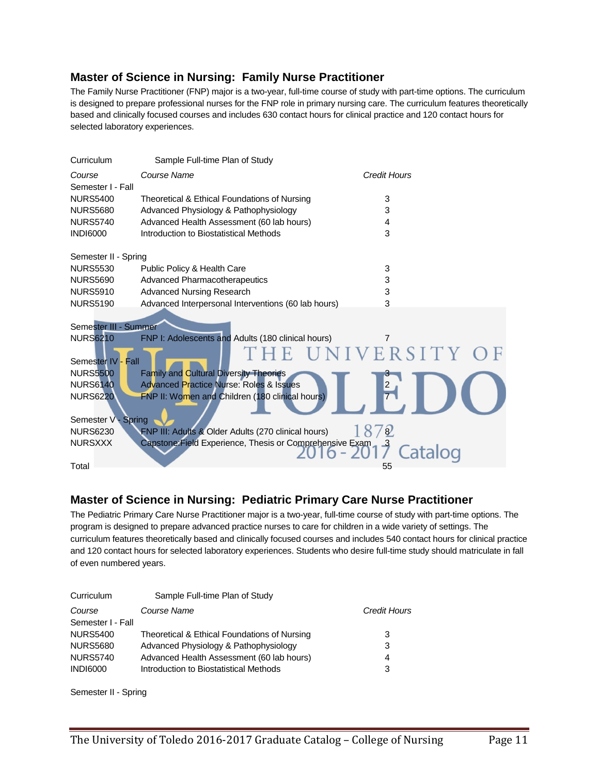#### **Master of Science in Nursing: Family Nurse Practitioner**

The Family Nurse Practitioner (FNP) major is a two-year, full-time course of study with part-time options. The curriculum is designed to prepare professional nurses for the FNP role in primary nursing care. The curriculum features theoretically based and clinically focused courses and includes 630 contact hours for clinical practice and 120 contact hours for selected laboratory experiences.

| Curriculum            | Sample Full-time Plan of Study                           |                     |
|-----------------------|----------------------------------------------------------|---------------------|
| Course                | Course Name                                              | <b>Credit Hours</b> |
| Semester I - Fall     |                                                          |                     |
| <b>NURS5400</b>       | Theoretical & Ethical Foundations of Nursing             | 3                   |
| <b>NURS5680</b>       | Advanced Physiology & Pathophysiology                    | 3                   |
| <b>NURS5740</b>       | Advanced Health Assessment (60 lab hours)                | 4                   |
| <b>INDI6000</b>       | Introduction to Biostatistical Methods                   | 3                   |
| Semester II - Spring  |                                                          |                     |
| <b>NURS5530</b>       | Public Policy & Health Care                              | 3                   |
| <b>NURS5690</b>       | <b>Advanced Pharmacotherapeutics</b>                     | 3                   |
| <b>NURS5910</b>       | <b>Advanced Nursing Research</b>                         | 3                   |
| <b>NURS5190</b>       | Advanced Interpersonal Interventions (60 lab hours)      | 3                   |
|                       |                                                          |                     |
| Semester III - Summer |                                                          |                     |
| <b>NURS6210</b>       | FNP I: Adolescents and Adults (180 clinical hours)       |                     |
| Semester IV - Fall    |                                                          | E UNIVERSITY        |
| <b>NURS5500</b>       | <b>Family and Cultural Diversity Theories</b>            |                     |
| <b>NURS6140</b>       | <b>Advanced Practice Nurse: Roles &amp; Issues</b>       | $\overline{2}$      |
| <b>NURS6220</b>       | FNP II: Women and Children (180 clinical hours)          |                     |
| Semester V - Spring   |                                                          |                     |
| <b>NURS6230</b>       | FNP III: Adults & Older Adults (270 clinical hours)      | $\sqrt{8}$          |
| <b>NURSXXX</b>        | Capstone: Field Experience, Thesis or Comprehensive Exam | Catalog             |
| Total                 |                                                          | 55                  |

#### **Master of Science in Nursing: Pediatric Primary Care Nurse Practitioner**

The Pediatric Primary Care Nurse Practitioner major is a two-year, full-time course of study with part-time options. The program is designed to prepare advanced practice nurses to care for children in a wide variety of settings. The curriculum features theoretically based and clinically focused courses and includes 540 contact hours for clinical practice and 120 contact hours for selected laboratory experiences. Students who desire full-time study should matriculate in fall of even numbered years.

| Curriculum        | Sample Full-time Plan of Study               |              |
|-------------------|----------------------------------------------|--------------|
| Course            | Course Name                                  | Credit Hours |
| Semester I - Fall |                                              |              |
| <b>NURS5400</b>   | Theoretical & Ethical Foundations of Nursing | 3            |
| <b>NURS5680</b>   | Advanced Physiology & Pathophysiology        | 3            |
| <b>NURS5740</b>   | Advanced Health Assessment (60 lab hours)    | 4            |
| <b>INDI6000</b>   | Introduction to Biostatistical Methods       | 3            |
|                   |                                              |              |

Semester II - Spring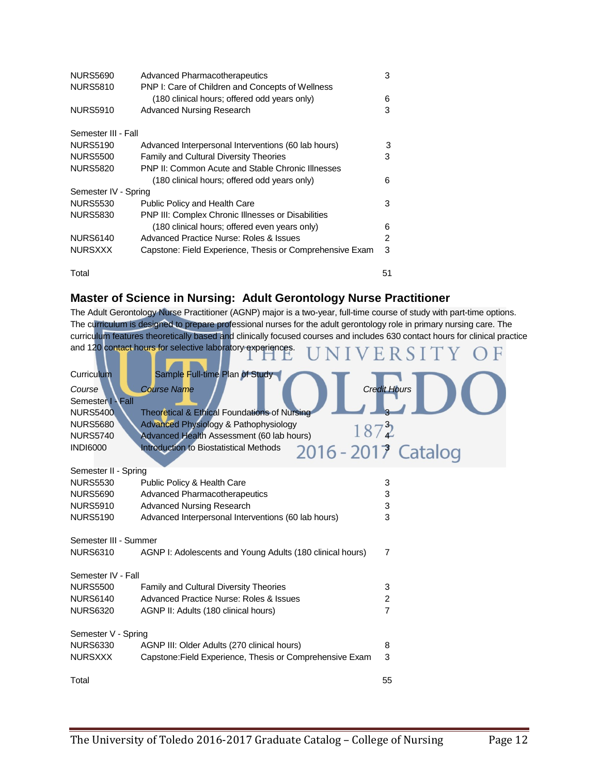| <b>NURS5690</b>      | Advanced Pharmacotherapeutics                             | 3  |
|----------------------|-----------------------------------------------------------|----|
| <b>NURS5810</b>      | PNP I: Care of Children and Concepts of Wellness          |    |
|                      | (180 clinical hours; offered odd years only)              | 6  |
| <b>NURS5910</b>      | <b>Advanced Nursing Research</b>                          | 3  |
| Semester III - Fall  |                                                           |    |
| <b>NURS5190</b>      | Advanced Interpersonal Interventions (60 lab hours)       | 3  |
| <b>NURS5500</b>      | <b>Family and Cultural Diversity Theories</b>             | 3  |
| <b>NURS5820</b>      | PNP II: Common Acute and Stable Chronic Illnesses         |    |
|                      | (180 clinical hours; offered odd years only)              | 6  |
| Semester IV - Spring |                                                           |    |
| <b>NURS5530</b>      | <b>Public Policy and Health Care</b>                      | 3  |
| <b>NURS5830</b>      | <b>PNP III: Complex Chronic IIInesses or Disabilities</b> |    |
|                      | (180 clinical hours; offered even years only)             | 6  |
| <b>NURS6140</b>      | Advanced Practice Nurse: Roles & Issues                   | 2  |
| <b>NURSXXX</b>       | Capstone: Field Experience, Thesis or Comprehensive Exam  | 3  |
| Total                |                                                           | 51 |

#### **Master of Science in Nursing: Adult Gerontology Nurse Practitioner**

The Adult Gerontology Nurse Practitioner (AGNP) major is a two-year, full-time course of study with part-time options. The curriculum is designed to prepare professional nurses for the adult gerontology role in primary nursing care. The curriculum features theoretically based and clinically focused courses and includes 630 contact hours for clinical practice and 120 contact hours for selective laboratory experiences. **IINIVERSITY OF** 

|                                                                                                                       |                                                                                                                                                                                                                                                     | 7 T C O                                    |
|-----------------------------------------------------------------------------------------------------------------------|-----------------------------------------------------------------------------------------------------------------------------------------------------------------------------------------------------------------------------------------------------|--------------------------------------------|
| Curriculum<br>Course<br>Semester I - Fall<br><b>NURS5400</b><br><b>NURS5680</b><br><b>NURS5740</b><br><b>INDI6000</b> | Sample Full-time Plan of Study<br><b>Course Name</b><br>Theoretical & Ethical Foundations of Nursing<br>Advanced Physiology & Pathophysiology<br>1872<br>Advanced Health Assessment (60 lab hours)<br><b>Introduction to Biostatistical Methods</b> | <b>Credit Hours</b><br>2016 - 2017 Catalog |
| Semester II - Spring                                                                                                  |                                                                                                                                                                                                                                                     |                                            |
| <b>NURS5530</b>                                                                                                       | Public Policy & Health Care                                                                                                                                                                                                                         | 3                                          |
| <b>NURS5690</b>                                                                                                       | <b>Advanced Pharmacotherapeutics</b>                                                                                                                                                                                                                | 3                                          |
| <b>NURS5910</b><br><b>NURS5190</b>                                                                                    | <b>Advanced Nursing Research</b><br>Advanced Interpersonal Interventions (60 lab hours)                                                                                                                                                             | 3<br>3                                     |
|                                                                                                                       |                                                                                                                                                                                                                                                     |                                            |
| Semester III - Summer<br><b>NURS6310</b>                                                                              | AGNP I: Adolescents and Young Adults (180 clinical hours)                                                                                                                                                                                           | $\overline{7}$                             |
|                                                                                                                       |                                                                                                                                                                                                                                                     |                                            |
| Semester IV - Fall                                                                                                    |                                                                                                                                                                                                                                                     |                                            |
| <b>NURS5500</b>                                                                                                       | Family and Cultural Diversity Theories                                                                                                                                                                                                              | 3                                          |
| <b>NURS6140</b>                                                                                                       | Advanced Practice Nurse: Roles & Issues                                                                                                                                                                                                             | $\boldsymbol{2}$                           |
| <b>NURS6320</b>                                                                                                       | AGNP II: Adults (180 clinical hours)                                                                                                                                                                                                                | $\overline{7}$                             |
| Semester V - Spring                                                                                                   |                                                                                                                                                                                                                                                     |                                            |
| <b>NURS6330</b>                                                                                                       | AGNP III: Older Adults (270 clinical hours)                                                                                                                                                                                                         | 8                                          |
| <b>NURSXXX</b>                                                                                                        | Capstone: Field Experience, Thesis or Comprehensive Exam                                                                                                                                                                                            | 3                                          |
| Total                                                                                                                 |                                                                                                                                                                                                                                                     | 55                                         |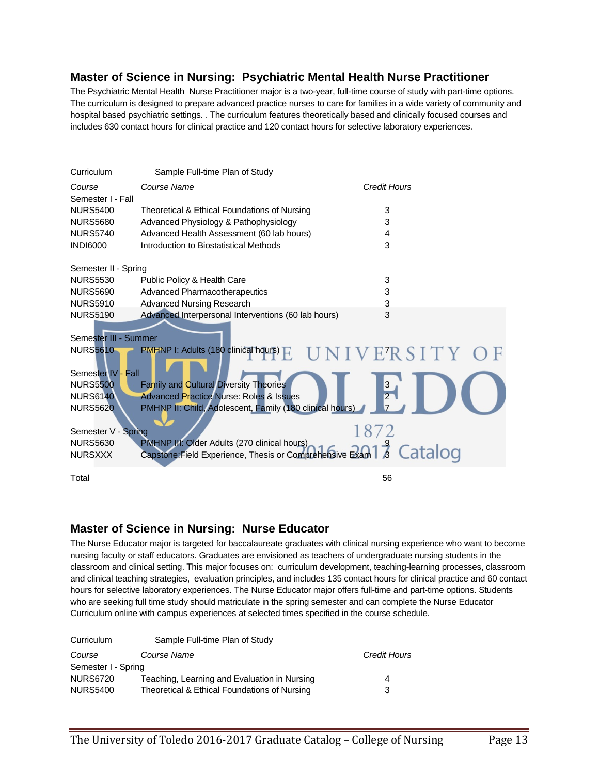#### **Master of Science in Nursing: Psychiatric Mental Health Nurse Practitioner**

The Psychiatric Mental Health Nurse Practitioner major is a two-year, full-time course of study with part-time options. The curriculum is designed to prepare advanced practice nurses to care for families in a wide variety of community and hospital based psychiatric settings. . The curriculum features theoretically based and clinically focused courses and includes 630 contact hours for clinical practice and 120 contact hours for selective laboratory experiences.

| Curriculum            | Sample Full-time Plan of Study                                                                                      |                     |
|-----------------------|---------------------------------------------------------------------------------------------------------------------|---------------------|
| Course                | Course Name                                                                                                         | <b>Credit Hours</b> |
| Semester I - Fall     |                                                                                                                     |                     |
| <b>NURS5400</b>       | Theoretical & Ethical Foundations of Nursing                                                                        | 3                   |
| <b>NURS5680</b>       | Advanced Physiology & Pathophysiology                                                                               | 3                   |
| <b>NURS5740</b>       | Advanced Health Assessment (60 lab hours)                                                                           | 4                   |
| <b>INDI6000</b>       | Introduction to Biostatistical Methods                                                                              | 3                   |
| Semester II - Spring  |                                                                                                                     |                     |
| <b>NURS5530</b>       | Public Policy & Health Care                                                                                         | 3                   |
| <b>NURS5690</b>       | <b>Advanced Pharmacotherapeutics</b>                                                                                | 3                   |
| <b>NURS5910</b>       | <b>Advanced Nursing Research</b>                                                                                    | 3                   |
| <b>NURS5190</b>       | Advanced Interpersonal Interventions (60 lab hours)                                                                 | 3                   |
| Semester III - Summer |                                                                                                                     |                     |
|                       |                                                                                                                     |                     |
| <b>NURS5610</b>       | PMHNP I: Adults (180 clinical hours) E                                                                              | UNIVERSITY          |
| Semester IV - Fall    |                                                                                                                     |                     |
| <b>NURS5500</b>       | <b>Family and Cultural Diversity Theories</b>                                                                       | $\frac{3}{2}$       |
| <b>NURS6140</b>       | <b>Advanced Practice Nurse: Roles &amp; Issues</b>                                                                  |                     |
| <b>NURS5620</b>       | PMHNP II: Child, Adolescent, Family (180 clinical hours)                                                            |                     |
| Semester V - Spring   |                                                                                                                     | 1872                |
| <b>NURS5630</b>       | PMHNP III: Older Adults (270 clinical hours)                                                                        |                     |
| <b>NURSXXX</b>        | PMHNP III: Older Adults (270 clinical hours)<br>Capstone:Field Experience, Thesis or Comprehensive Exam 1 3 Catalog |                     |
| Total                 |                                                                                                                     | 56                  |

#### **Master of Science in Nursing: Nurse Educator**

The Nurse Educator major is targeted for baccalaureate graduates with clinical nursing experience who want to become nursing faculty or staff educators. Graduates are envisioned as teachers of undergraduate nursing students in the classroom and clinical setting. This major focuses on: curriculum development, teaching-learning processes, classroom and clinical teaching strategies, evaluation principles, and includes 135 contact hours for clinical practice and 60 contact hours for selective laboratory experiences. The Nurse Educator major offers full-time and part-time options. Students who are seeking full time study should matriculate in the spring semester and can complete the Nurse Educator Curriculum online with campus experiences at selected times specified in the course schedule.

| Sample Full-time Plan of Study               |                     |
|----------------------------------------------|---------------------|
| Course Name                                  | <b>Credit Hours</b> |
| Semester I - Spring                          |                     |
| Teaching, Learning and Evaluation in Nursing | 4                   |
| Theoretical & Ethical Foundations of Nursing | 3                   |
|                                              |                     |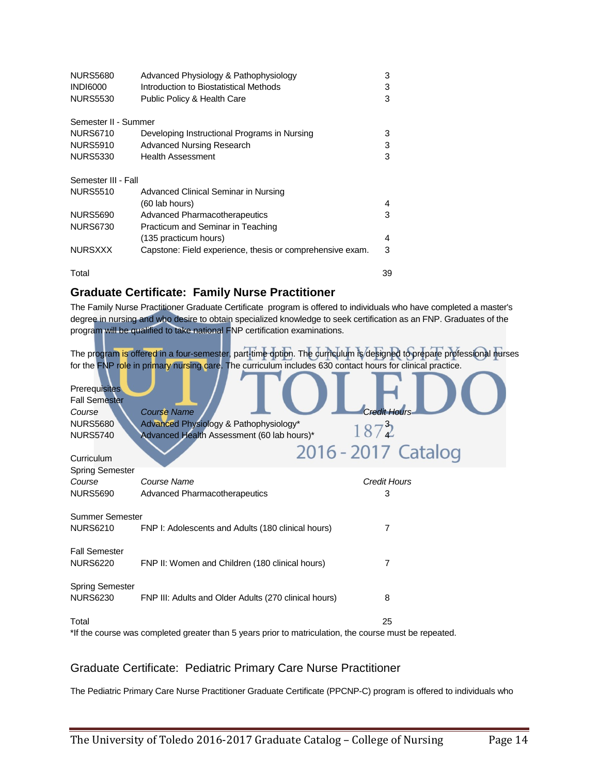| <b>NURS5680</b>      | Advanced Physiology & Pathophysiology                     | 3  |
|----------------------|-----------------------------------------------------------|----|
| <b>INDI6000</b>      | Introduction to Biostatistical Methods                    | 3  |
| <b>NURS5530</b>      | Public Policy & Health Care                               | 3  |
| Semester II - Summer |                                                           |    |
| <b>NURS6710</b>      | Developing Instructional Programs in Nursing              | 3  |
| <b>NURS5910</b>      | Advanced Nursing Research                                 | 3  |
| <b>NURS5330</b>      | <b>Health Assessment</b>                                  | 3  |
| Semester III - Fall  |                                                           |    |
| <b>NURS5510</b>      | Advanced Clinical Seminar in Nursing                      |    |
|                      | (60 lab hours)                                            | 4  |
| <b>NURS5690</b>      | <b>Advanced Pharmacotherapeutics</b>                      | 3  |
| <b>NURS6730</b>      | Practicum and Seminar in Teaching                         |    |
|                      | (135 practicum hours)                                     | 4  |
| <b>NURSXXX</b>       | Capstone: Field experience, thesis or comprehensive exam. | 3  |
| Total                |                                                           | 39 |

#### **Graduate Certificate: Family Nurse Practitioner**

The Family Nurse Practitioner Graduate Certificate program is offered to individuals who have completed a master's degree in nursing and who desire to obtain specialized knowledge to seek certification as an FNP. Graduates of the program will be qualified to take national FNP certification examinations.

The program is offered in a four-semester, part-time option. The curriculum is designed to prepare professional nurses for the FNP role in primary nursing care. The curriculum includes 630 contact hours for clinical practice.

| <b>Prerequisites</b><br><b>Fall Semester</b><br>Course<br><b>NURS5680</b>                              | <b>Course Name</b><br>Advanced Physiology & Pathophysiology* | <b>Credit Hours</b><br>1872 |  |  |  |
|--------------------------------------------------------------------------------------------------------|--------------------------------------------------------------|-----------------------------|--|--|--|
| <b>NURS5740</b>                                                                                        | Advanced Health Assessment (60 lab hours)*                   |                             |  |  |  |
| Curriculum                                                                                             |                                                              | 2016 - 2017 Catalog         |  |  |  |
| <b>Spring Semester</b>                                                                                 |                                                              |                             |  |  |  |
| Course                                                                                                 | Course Name                                                  | <b>Credit Hours</b>         |  |  |  |
| <b>NURS5690</b>                                                                                        | <b>Advanced Pharmacotherapeutics</b>                         | 3                           |  |  |  |
| <b>Summer Semester</b>                                                                                 |                                                              |                             |  |  |  |
| <b>NURS6210</b>                                                                                        | FNP I: Adolescents and Adults (180 clinical hours)           | 7                           |  |  |  |
| <b>Fall Semester</b><br><b>NURS6220</b>                                                                | FNP II: Women and Children (180 clinical hours)              | 7                           |  |  |  |
| <b>Spring Semester</b><br><b>NURS6230</b>                                                              | FNP III: Adults and Older Adults (270 clinical hours)        | 8                           |  |  |  |
| Total                                                                                                  |                                                              | 25                          |  |  |  |
| *If the course was completed greater than 5 years prior to matriculation, the course must be repeated. |                                                              |                             |  |  |  |

## Graduate Certificate: Pediatric Primary Care Nurse Practitioner

The Pediatric Primary Care Nurse Practitioner Graduate Certificate (PPCNP-C) program is offered to individuals who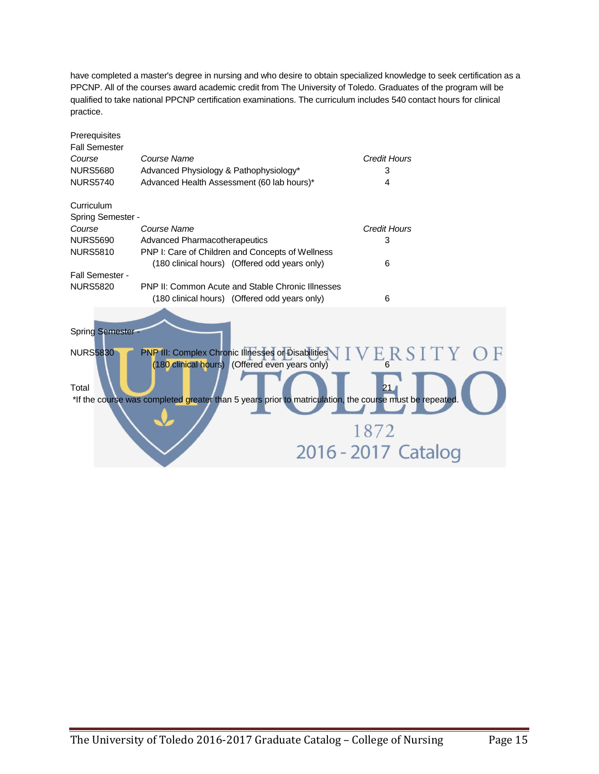have completed a master's degree in nursing and who desire to obtain specialized knowledge to seek certification as a PPCNP. All of the courses award academic credit from The University of Toledo. Graduates of the program will be qualified to take national PPCNP certification examinations. The curriculum includes 540 contact hours for clinical practice.

| Prerequisites        |                                                          |                                                                                                        |  |
|----------------------|----------------------------------------------------------|--------------------------------------------------------------------------------------------------------|--|
| <b>Fall Semester</b> |                                                          |                                                                                                        |  |
| Course               | Course Name                                              | Credit Hours                                                                                           |  |
| <b>NURS5680</b>      | Advanced Physiology & Pathophysiology*                   | 3                                                                                                      |  |
| <b>NURS5740</b>      | Advanced Health Assessment (60 lab hours)*               | 4                                                                                                      |  |
| Curriculum           |                                                          |                                                                                                        |  |
| Spring Semester -    |                                                          |                                                                                                        |  |
| Course               | Course Name                                              | <b>Credit Hours</b>                                                                                    |  |
| <b>NURS5690</b>      | Advanced Pharmacotherapeutics                            | 3                                                                                                      |  |
| <b>NURS5810</b>      | PNP I: Care of Children and Concepts of Wellness         |                                                                                                        |  |
|                      | (180 clinical hours) (Offered odd years only)            | 6                                                                                                      |  |
| Fall Semester -      |                                                          |                                                                                                        |  |
| <b>NURS5820</b>      | <b>PNP II: Common Acute and Stable Chronic Illnesses</b> |                                                                                                        |  |
|                      | (180 clinical hours) (Offered odd years only)            | 6                                                                                                      |  |
|                      |                                                          |                                                                                                        |  |
| Spring Semester      |                                                          |                                                                                                        |  |
| <b>NURS5830</b>      | PNP III: Complex Chronic Illnesses or Disabilities       | ERSITY OF                                                                                              |  |
|                      | (180 clinical hours) (Offered even years only)           |                                                                                                        |  |
| Total                |                                                          | 21.                                                                                                    |  |
|                      |                                                          | *If the course was completed greater than 5 years prior to matriculation, the course must be repeated. |  |
|                      |                                                          |                                                                                                        |  |
|                      |                                                          | 1872                                                                                                   |  |
|                      |                                                          |                                                                                                        |  |
|                      |                                                          | 2016 - 2017 Catalog                                                                                    |  |
|                      |                                                          |                                                                                                        |  |